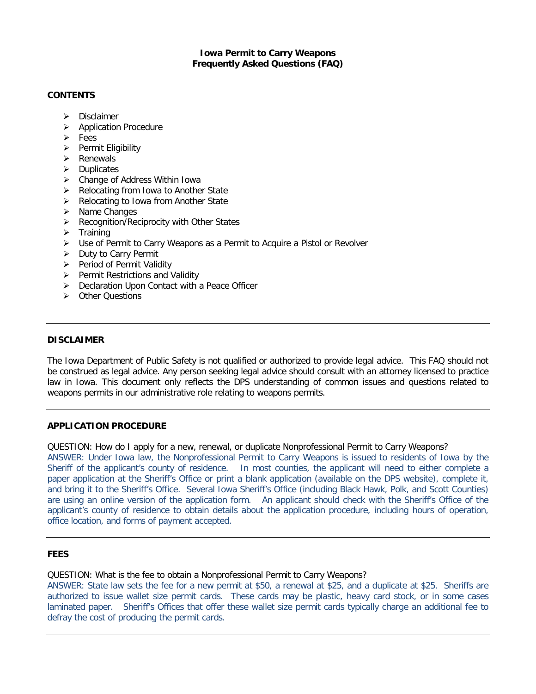## **Iowa Permit to Carry Weapons Frequently Asked Questions (FAQ)**

## **CONTENTS**

- > Disclaimer
- > Application Procedure
- $\triangleright$  Fees
- $\triangleright$  Permit Eligibility
- $\triangleright$  Renewals
- $\triangleright$  Duplicates
- Change of Address Within Iowa
- $\triangleright$  Relocating from Iowa to Another State
- $\triangleright$  Relocating to Iowa from Another State
- $\triangleright$  Name Changes
- $\triangleright$  Recognition/Reciprocity with Other States
- $\triangleright$  Training
- Use of Permit to Carry Weapons as a Permit to Acquire a Pistol or Revolver
- $\triangleright$  Duty to Carry Permit
- $\triangleright$  Period of Permit Validity
- $\triangleright$  Permit Restrictions and Validity
- ▶ Declaration Upon Contact with a Peace Officer
- **EX Other Questions**

### **DISCLAIMER**

The Iowa Department of Public Safety is not qualified or authorized to provide legal advice. This FAQ should not be construed as legal advice. Any person seeking legal advice should consult with an attorney licensed to practice law in Iowa. This document only reflects the DPS understanding of common issues and questions related to weapons permits in our administrative role relating to weapons permits.

### **APPLICATION PROCEDURE**

QUESTION: How do I apply for a new, renewal, or duplicate Nonprofessional Permit to Carry Weapons? ANSWER: Under Iowa law, the Nonprofessional Permit to Carry Weapons is issued to residents of Iowa by the Sheriff of the applicant's county of residence. In most counties, the applicant will need to either complete a paper application at the Sheriff's Office or print a blank application (available on the DPS website), complete it, and bring it to the Sheriff's Office. Several Iowa Sheriff's Office (including Black Hawk, Polk, and Scott Counties) are using an online version of the application form. An applicant should check with the Sheriff's Office of the applicant's county of residence to obtain details about the application procedure, including hours of operation, office location, and forms of payment accepted.

## **FEES**

### QUESTION: What is the fee to obtain a Nonprofessional Permit to Carry Weapons?

ANSWER: State law sets the fee for a new permit at \$50, a renewal at \$25, and a duplicate at \$25. Sheriffs are authorized to issue wallet size permit cards. These cards may be plastic, heavy card stock, or in some cases laminated paper. Sheriff's Offices that offer these wallet size permit cards typically charge an additional fee to defray the cost of producing the permit cards.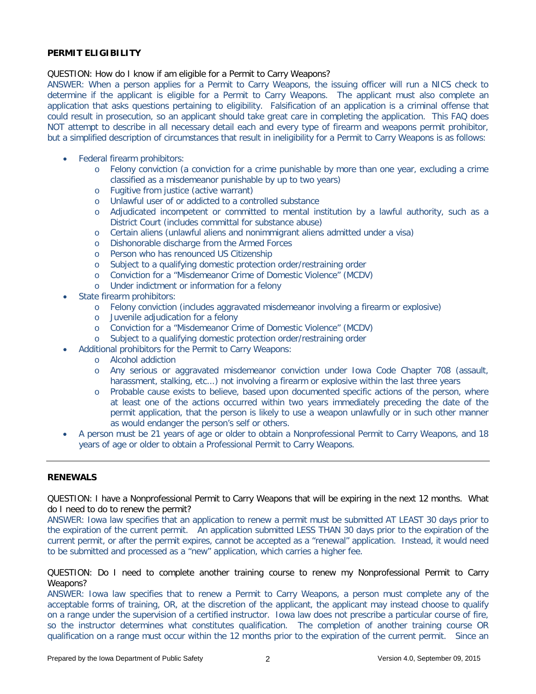## **PERMIT ELIGIBILITY**

#### QUESTION: How do I know if am eligible for a Permit to Carry Weapons?

ANSWER: When a person applies for a Permit to Carry Weapons, the issuing officer will run a NICS check to determine if the applicant is eligible for a Permit to Carry Weapons. The applicant must also complete an application that asks questions pertaining to eligibility. Falsification of an application is a criminal offense that could result in prosecution, so an applicant should take great care in completing the application. This FAQ does NOT attempt to describe in all necessary detail each and every type of firearm and weapons permit prohibitor, but a simplified description of circumstances that result in ineligibility for a Permit to Carry Weapons is as follows:

- Federal firearm prohibitors:
	- o Felony conviction (a conviction for a crime punishable by more than one year, excluding a crime classified as a misdemeanor punishable by up to two years)
	- o Fugitive from justice (active warrant)
	- o Unlawful user of or addicted to a controlled substance
	- o Adjudicated incompetent or committed to mental institution by a lawful authority, such as a District Court (includes committal for substance abuse)
	- o Certain aliens (unlawful aliens and nonimmigrant aliens admitted under a visa)
	- o Dishonorable discharge from the Armed Forces
	- o Person who has renounced US Citizenship
	- o Subject to a qualifying domestic protection order/restraining order
	- o Conviction for a "Misdemeanor Crime of Domestic Violence" (MCDV)
	- o Under indictment or information for a felony
- State firearm prohibitors:
	- o Felony conviction (includes aggravated misdemeanor involving a firearm or explosive)
	- o Juvenile adjudication for a felony
	- o Conviction for a "Misdemeanor Crime of Domestic Violence" (MCDV)
	- o Subject to a qualifying domestic protection order/restraining order
- Additional prohibitors for the Permit to Carry Weapons:
	- o Alcohol addiction
	- o Any serious or aggravated misdemeanor conviction under Iowa Code Chapter 708 (assault, harassment, stalking, etc...) not involving a firearm or explosive within the last three years
	- o Probable cause exists to believe, based upon documented specific actions of the person, where at least one of the actions occurred within two years immediately preceding the date of the permit application, that the person is likely to use a weapon unlawfully or in such other manner as would endanger the person's self or others.
- A person must be 21 years of age or older to obtain a Nonprofessional Permit to Carry Weapons, and 18 years of age or older to obtain a Professional Permit to Carry Weapons.

## **RENEWALS**

QUESTION: I have a Nonprofessional Permit to Carry Weapons that will be expiring in the next 12 months. What do I need to do to renew the permit?

ANSWER: Iowa law specifies that an application to renew a permit must be submitted AT LEAST 30 days prior to the expiration of the current permit. An application submitted LESS THAN 30 days prior to the expiration of the current permit, or after the permit expires, cannot be accepted as a "renewal" application. Instead, it would need to be submitted and processed as a "new" application, which carries a higher fee.

QUESTION: Do I need to complete another training course to renew my Nonprofessional Permit to Carry Weapons?

ANSWER: Iowa law specifies that to renew a Permit to Carry Weapons, a person must complete any of the acceptable forms of training, OR, at the discretion of the applicant, the applicant may instead choose to qualify on a range under the supervision of a certified instructor. Iowa law does not prescribe a particular course of fire, so the instructor determines what constitutes qualification. The completion of another training course OR qualification on a range must occur within the 12 months prior to the expiration of the current permit. Since an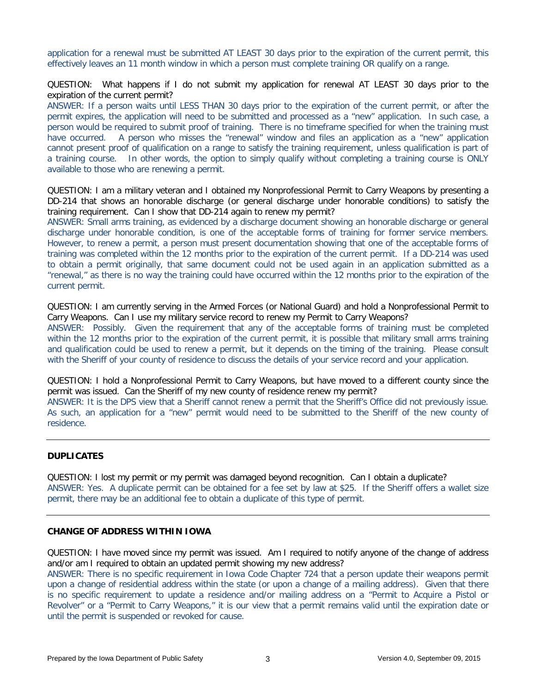application for a renewal must be submitted AT LEAST 30 days prior to the expiration of the current permit, this effectively leaves an 11 month window in which a person must complete training OR qualify on a range.

QUESTION: What happens if I do not submit my application for renewal AT LEAST 30 days prior to the expiration of the current permit?

ANSWER: If a person waits until LESS THAN 30 days prior to the expiration of the current permit, or after the permit expires, the application will need to be submitted and processed as a "new" application. In such case, a person would be required to submit proof of training. There is no timeframe specified for when the training must have occurred. A person who misses the "renewal" window and files an application as a "new" application cannot present proof of qualification on a range to satisfy the training requirement, unless qualification is part of a training course. In other words, the option to simply qualify without completing a training course is ONLY available to those who are renewing a permit.

QUESTION: I am a military veteran and I obtained my Nonprofessional Permit to Carry Weapons by presenting a DD-214 that shows an honorable discharge (or general discharge under honorable conditions) to satisfy the training requirement. Can I show that DD-214 again to renew my permit?

ANSWER: Small arms training, as evidenced by a discharge document showing an honorable discharge or general discharge under honorable condition, is one of the acceptable forms of training for former service members. However, to renew a permit, a person must present documentation showing that one of the acceptable forms of training was completed within the 12 months prior to the expiration of the current permit. If a DD-214 was used to obtain a permit originally, that same document could not be used again in an application submitted as a "renewal," as there is no way the training could have occurred within the 12 months prior to the expiration of the current permit.

QUESTION: I am currently serving in the Armed Forces (or National Guard) and hold a Nonprofessional Permit to Carry Weapons. Can I use my military service record to renew my Permit to Carry Weapons? ANSWER: Possibly. Given the requirement that any of the acceptable forms of training must be completed

within the 12 months prior to the expiration of the current permit, it is possible that military small arms training and qualification could be used to renew a permit, but it depends on the timing of the training. Please consult with the Sheriff of your county of residence to discuss the details of your service record and your application.

QUESTION: I hold a Nonprofessional Permit to Carry Weapons, but have moved to a different county since the permit was issued. Can the Sheriff of my new county of residence renew my permit?

ANSWER: It is the DPS view that a Sheriff cannot renew a permit that the Sheriff's Office did not previously issue. As such, an application for a "new" permit would need to be submitted to the Sheriff of the new county of residence.

### **DUPLICATES**

QUESTION: I lost my permit or my permit was damaged beyond recognition. Can I obtain a duplicate? ANSWER: Yes. A duplicate permit can be obtained for a fee set by law at \$25. If the Sheriff offers a wallet size permit, there may be an additional fee to obtain a duplicate of this type of permit.

## **CHANGE OF ADDRESS WITHIN IOWA**

QUESTION: I have moved since my permit was issued. Am I required to notify anyone of the change of address and/or am I required to obtain an updated permit showing my new address?

ANSWER: There is no specific requirement in Iowa Code Chapter 724 that a person update their weapons permit upon a change of residential address within the state (or upon a change of a mailing address). Given that there is no specific requirement to update a residence and/or mailing address on a "Permit to Acquire a Pistol or Revolver" or a "Permit to Carry Weapons," it is our view that a permit remains valid until the expiration date or until the permit is suspended or revoked for cause.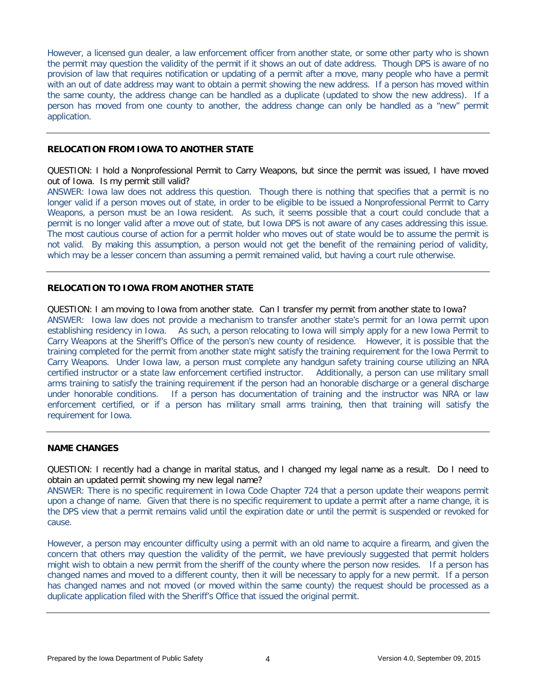However, a licensed gun dealer, a law enforcement officer from another state, or some other party who is shown the permit may question the validity of the permit if it shows an out of date address. Though DPS is aware of no provision of law that requires notification or updating of a permit after a move, many people who have a permit with an out of date address may want to obtain a permit showing the new address. If a person has moved within the same county, the address change can be handled as a duplicate (updated to show the new address). If a person has moved from one county to another, the address change can only be handled as a "new" permit application.

# **RELOCATION FROM IOWA TO ANOTHER STATE**

QUESTION: I hold a Nonprofessional Permit to Carry Weapons, but since the permit was issued, I have moved out of Iowa. Is my permit still valid?

ANSWER: Iowa law does not address this question. Though there is nothing that specifies that a permit is no longer valid if a person moves out of state, in order to be eligible to be issued a Nonprofessional Permit to Carry Weapons, a person must be an Iowa resident. As such, it seems possible that a court could conclude that a permit is no longer valid after a move out of state, but Iowa DPS is not aware of any cases addressing this issue. The most cautious course of action for a permit holder who moves out of state would be to assume the permit is not valid. By making this assumption, a person would not get the benefit of the remaining period of validity, which may be a lesser concern than assuming a permit remained valid, but having a court rule otherwise.

# **RELOCATION TO IOWA FROM ANOTHER STATE**

QUESTION: I am moving to Iowa from another state. Can I transfer my permit from another state to Iowa? ANSWER: Iowa law does not provide a mechanism to transfer another state's permit for an Iowa permit upon establishing residency in Iowa. As such, a person relocating to Iowa will simply apply for a new Iowa Permit to Carry Weapons at the Sheriff's Office of the person's new county of residence. However, it is possible that the training completed for the permit from another state might satisfy the training requirement for the Iowa Permit to Carry Weapons. Under Iowa law, a person must complete any handgun safety training course utilizing an NRA certified instructor or a state law enforcement certified instructor. Additionally, a person can use military small arms training to satisfy the training requirement if the person had an honorable discharge or a general discharge under honorable conditions. If a person has documentation of training and the instructor was NRA or law enforcement certified, or if a person has military small arms training, then that training will satisfy the requirement for Iowa.

## **NAME CHANGES**

QUESTION: I recently had a change in marital status, and I changed my legal name as a result. Do I need to obtain an updated permit showing my new legal name?

ANSWER: There is no specific requirement in Iowa Code Chapter 724 that a person update their weapons permit upon a change of name. Given that there is no specific requirement to update a permit after a name change, it is the DPS view that a permit remains valid until the expiration date or until the permit is suspended or revoked for cause.

However, a person may encounter difficulty using a permit with an old name to acquire a firearm, and given the concern that others may question the validity of the permit, we have previously suggested that permit holders might wish to obtain a new permit from the sheriff of the county where the person now resides. If a person has changed names and moved to a different county, then it will be necessary to apply for a new permit. If a person has changed names and not moved (or moved within the same county) the request should be processed as a duplicate application filed with the Sheriff's Office that issued the original permit.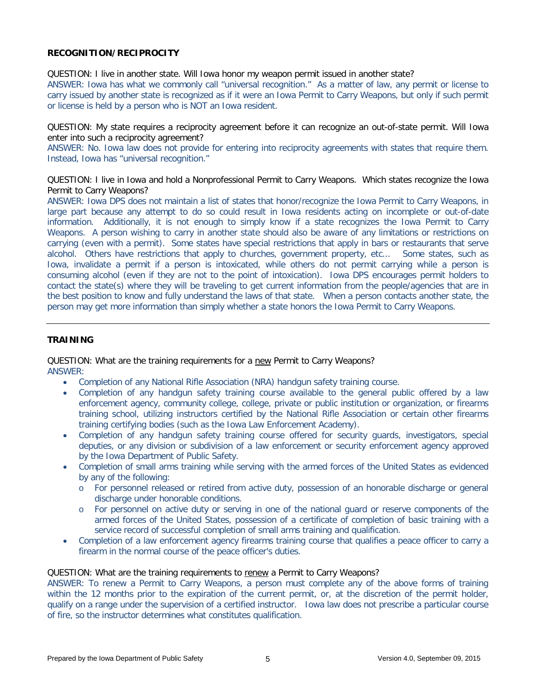# **RECOGNITION/RECIPROCITY**

QUESTION: I live in another state. Will Iowa honor my weapon permit issued in another state?

ANSWER: Iowa has what we commonly call "universal recognition." As a matter of law, any permit or license to carry issued by another state is recognized as if it were an Iowa Permit to Carry Weapons, but only if such permit or license is held by a person who is NOT an Iowa resident.

QUESTION: My state requires a reciprocity agreement before it can recognize an out-of-state permit. Will Iowa enter into such a reciprocity agreement?

ANSWER: No. Iowa law does not provide for entering into reciprocity agreements with states that require them. Instead, Iowa has "universal recognition."

QUESTION: I live in Iowa and hold a Nonprofessional Permit to Carry Weapons. Which states recognize the Iowa Permit to Carry Weapons?

ANSWER: Iowa DPS does not maintain a list of states that honor/recognize the Iowa Permit to Carry Weapons, in large part because any attempt to do so could result in Iowa residents acting on incomplete or out-of-date information. Additionally, it is not enough to simply know if a state recognizes the Iowa Permit to Carry Weapons. A person wishing to carry in another state should also be aware of any limitations or restrictions on carrying (even with a permit). Some states have special restrictions that apply in bars or restaurants that serve alcohol. Others have restrictions that apply to churches, government property, etc... Some states, such as Iowa, invalidate a permit if a person is intoxicated, while others do not permit carrying while a person is consuming alcohol (even if they are not to the point of intoxication). Iowa DPS encourages permit holders to contact the state(s) where they will be traveling to get current information from the people/agencies that are in the best position to know and fully understand the laws of that state. When a person contacts another state, the person may get more information than simply whether a state honors the Iowa Permit to Carry Weapons.

## **TRAINING**

QUESTION: What are the training requirements for a new Permit to Carry Weapons? ANSWER:

- Completion of any National Rifle Association (NRA) handgun safety training course.
- Completion of any handgun safety training course available to the general public offered by a law enforcement agency, community college, college, private or public institution or organization, or firearms training school, utilizing instructors certified by the National Rifle Association or certain other firearms training certifying bodies (such as the Iowa Law Enforcement Academy).
- Completion of any handgun safety training course offered for security guards, investigators, special deputies, or any division or subdivision of a law enforcement or security enforcement agency approved by the Iowa Department of Public Safety.
- Completion of small arms training while serving with the armed forces of the United States as evidenced by any of the following:
	- o For personnel released or retired from active duty, possession of an honorable discharge or general discharge under honorable conditions.
	- o For personnel on active duty or serving in one of the national guard or reserve components of the armed forces of the United States, possession of a certificate of completion of basic training with a service record of successful completion of small arms training and qualification.
- Completion of a law enforcement agency firearms training course that qualifies a peace officer to carry a firearm in the normal course of the peace officer's duties.

#### QUESTION: What are the training requirements to renew a Permit to Carry Weapons?

ANSWER: To renew a Permit to Carry Weapons, a person must complete any of the above forms of training within the 12 months prior to the expiration of the current permit, or, at the discretion of the permit holder, qualify on a range under the supervision of a certified instructor. Iowa law does not prescribe a particular course of fire, so the instructor determines what constitutes qualification.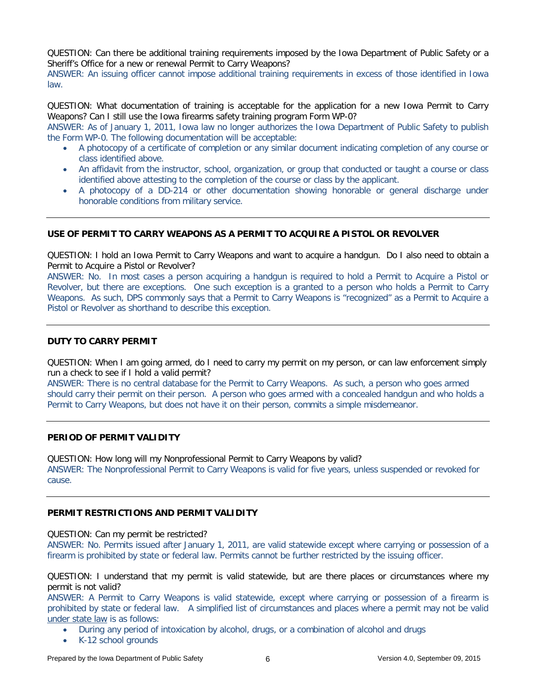QUESTION: Can there be additional training requirements imposed by the Iowa Department of Public Safety or a Sheriff's Office for a new or renewal Permit to Carry Weapons?

ANSWER: An issuing officer cannot impose additional training requirements in excess of those identified in Iowa law.

QUESTION: What documentation of training is acceptable for the application for a new Iowa Permit to Carry Weapons? Can I still use the Iowa firearms safety training program Form WP-0?

ANSWER: As of January 1, 2011, Iowa law no longer authorizes the Iowa Department of Public Safety to publish the Form WP-0. The following documentation will be acceptable:

- A photocopy of a certificate of completion or any similar document indicating completion of any course or class identified above.
- An affidavit from the instructor, school, organization, or group that conducted or taught a course or class identified above attesting to the completion of the course or class by the applicant.
- A photocopy of a DD-214 or other documentation showing honorable or general discharge under honorable conditions from military service.

# **USE OF PERMIT TO CARRY WEAPONS AS A PERMIT TO ACQUIRE A PISTOL OR REVOLVER**

QUESTION: I hold an Iowa Permit to Carry Weapons and want to acquire a handgun. Do I also need to obtain a Permit to Acquire a Pistol or Revolver?

ANSWER: No. In most cases a person acquiring a handgun is required to hold a Permit to Acquire a Pistol or Revolver, but there are exceptions. One such exception is a granted to a person who holds a Permit to Carry Weapons. As such, DPS commonly says that a Permit to Carry Weapons is "recognized" as a Permit to Acquire a Pistol or Revolver as shorthand to describe this exception.

### **DUTY TO CARRY PERMIT**

QUESTION: When I am going armed, do I need to carry my permit on my person, or can law enforcement simply run a check to see if I hold a valid permit?

ANSWER: There is no central database for the Permit to Carry Weapons. As such, a person who goes armed should carry their permit on their person. A person who goes armed with a concealed handgun and who holds a Permit to Carry Weapons, but does not have it on their person, commits a simple misdemeanor.

### **PERIOD OF PERMIT VALIDITY**

QUESTION: How long will my Nonprofessional Permit to Carry Weapons by valid? ANSWER: The Nonprofessional Permit to Carry Weapons is valid for five years, unless suspended or revoked for cause.

# **PERMIT RESTRICTIONS AND PERMIT VALIDITY**

#### QUESTION: Can my permit be restricted?

ANSWER: No. Permits issued after January 1, 2011, are valid statewide except where carrying or possession of a firearm is prohibited by state or federal law. Permits cannot be further restricted by the issuing officer.

QUESTION: I understand that my permit is valid statewide, but are there places or circumstances where my permit is not valid?

ANSWER: A Permit to Carry Weapons is valid statewide, except where carrying or possession of a firearm is prohibited by state or federal law. A simplified list of circumstances and places where a permit may not be valid under state law is as follows:

- During any period of intoxication by alcohol, drugs, or a combination of alcohol and drugs
- K-12 school grounds